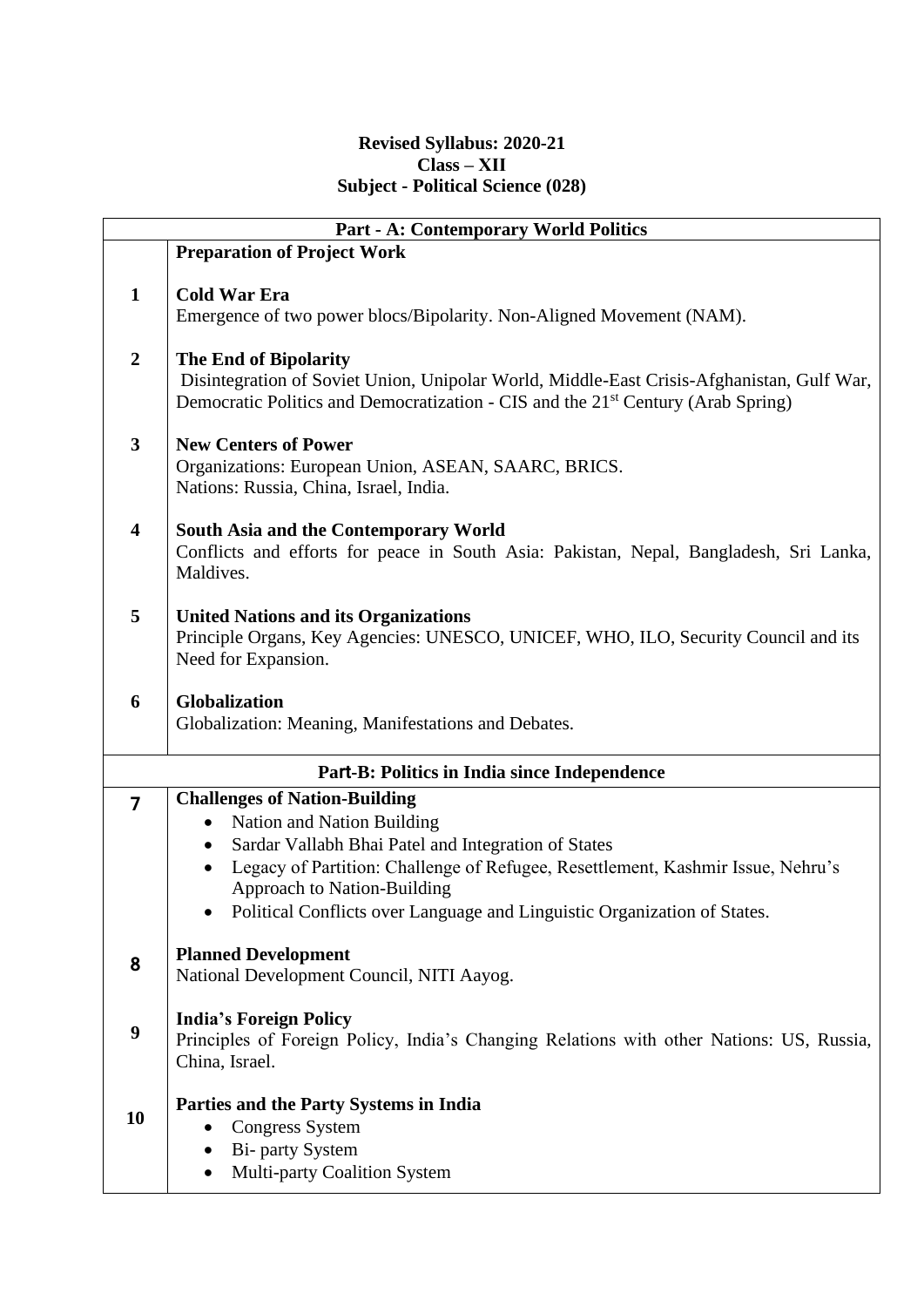#### **Revised Syllabus: 2020-21 Class – XII Subject - Political Science (028)**

|                  | <b>Part - A: Contemporary World Politics</b>                                                                   |
|------------------|----------------------------------------------------------------------------------------------------------------|
|                  | <b>Preparation of Project Work</b>                                                                             |
| $\mathbf{1}$     | <b>Cold War Era</b>                                                                                            |
|                  | Emergence of two power blocs/Bipolarity. Non-Aligned Movement (NAM).                                           |
|                  |                                                                                                                |
| $\boldsymbol{2}$ | <b>The End of Bipolarity</b>                                                                                   |
|                  | Disintegration of Soviet Union, Unipolar World, Middle-East Crisis-Afghanistan, Gulf War,                      |
|                  | Democratic Politics and Democratization - CIS and the 21 <sup>st</sup> Century (Arab Spring)                   |
| $\mathbf{3}$     | <b>New Centers of Power</b>                                                                                    |
|                  | Organizations: European Union, ASEAN, SAARC, BRICS.                                                            |
|                  | Nations: Russia, China, Israel, India.                                                                         |
| 4                | <b>South Asia and the Contemporary World</b>                                                                   |
|                  | Conflicts and efforts for peace in South Asia: Pakistan, Nepal, Bangladesh, Sri Lanka,                         |
|                  | Maldives.                                                                                                      |
| 5                | <b>United Nations and its Organizations</b>                                                                    |
|                  | Principle Organs, Key Agencies: UNESCO, UNICEF, WHO, ILO, Security Council and its                             |
|                  | Need for Expansion.                                                                                            |
|                  |                                                                                                                |
| 6                | Globalization<br>Globalization: Meaning, Manifestations and Debates.                                           |
|                  |                                                                                                                |
|                  | Part-B: Politics in India since Independence                                                                   |
| $\overline{7}$   | <b>Challenges of Nation-Building</b>                                                                           |
|                  | Nation and Nation Building                                                                                     |
|                  | Sardar Vallabh Bhai Patel and Integration of States                                                            |
|                  | Legacy of Partition: Challenge of Refugee, Resettlement, Kashmir Issue, Nehru's<br>Approach to Nation-Building |
|                  | • Political Conflicts over Language and Linguistic Organization of States.                                     |
|                  |                                                                                                                |
| 8                | <b>Planned Development</b>                                                                                     |
|                  | National Development Council, NITI Aayog.                                                                      |
|                  | <b>India's Foreign Policy</b>                                                                                  |
| 9                | Principles of Foreign Policy, India's Changing Relations with other Nations: US, Russia,                       |
|                  | China, Israel.                                                                                                 |
|                  | Parties and the Party Systems in India                                                                         |
| 10               | <b>Congress System</b><br>٠                                                                                    |
|                  | <b>Bi-</b> party System                                                                                        |
|                  | Multi-party Coalition System                                                                                   |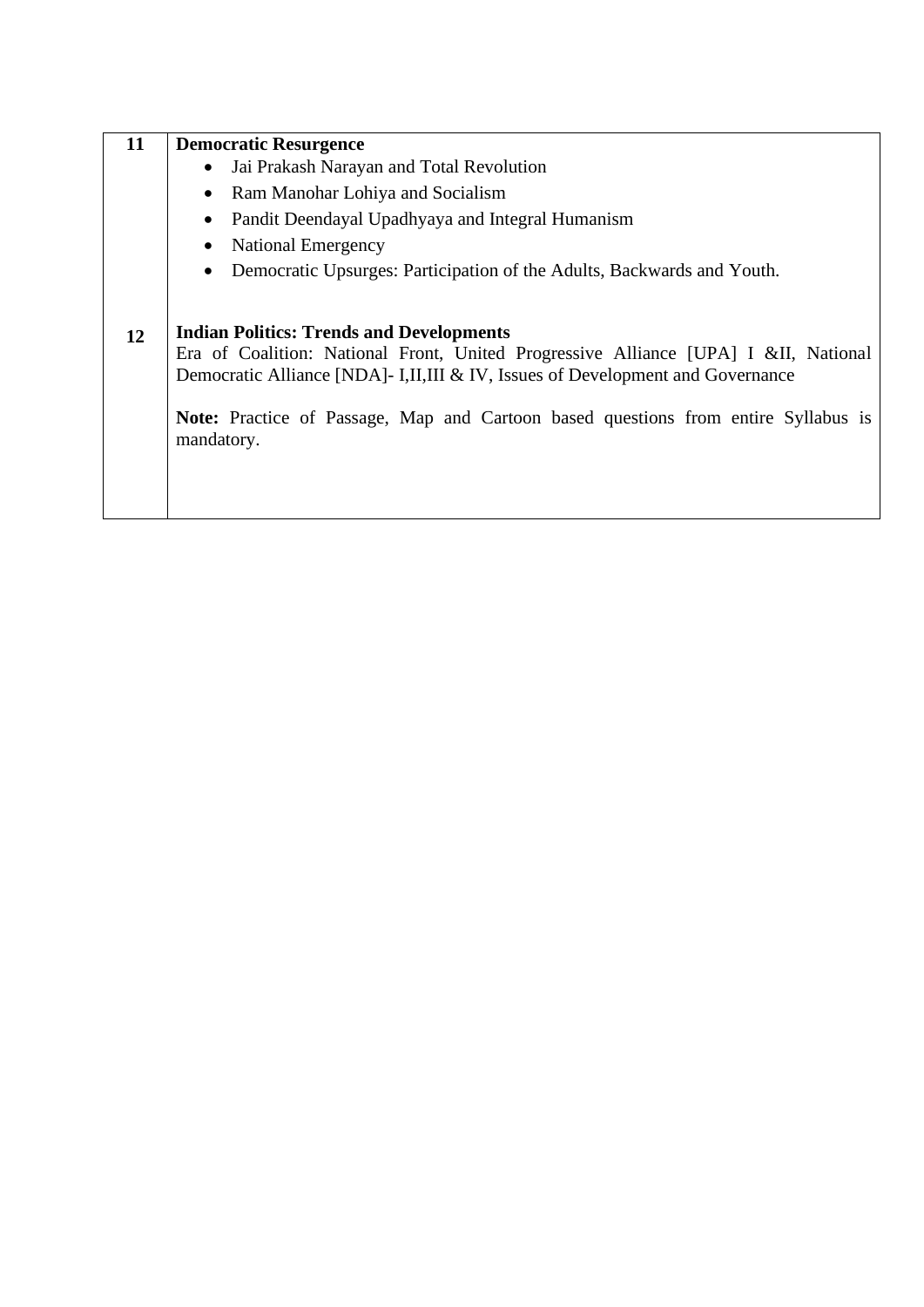| 11 | <b>Democratic Resurgence</b>                                                                                                                                                                                                                                                                                                 |
|----|------------------------------------------------------------------------------------------------------------------------------------------------------------------------------------------------------------------------------------------------------------------------------------------------------------------------------|
|    | Jai Prakash Narayan and Total Revolution<br>$\bullet$                                                                                                                                                                                                                                                                        |
|    | Ram Manohar Lohiya and Socialism<br>$\bullet$                                                                                                                                                                                                                                                                                |
|    | Pandit Deendayal Upadhyaya and Integral Humanism<br>$\bullet$                                                                                                                                                                                                                                                                |
|    | <b>National Emergency</b><br>٠                                                                                                                                                                                                                                                                                               |
|    | Democratic Upsurges: Participation of the Adults, Backwards and Youth.<br>$\bullet$                                                                                                                                                                                                                                          |
| 12 | <b>Indian Politics: Trends and Developments</b><br>Era of Coalition: National Front, United Progressive Alliance [UPA] I &II, National<br>Democratic Alliance [NDA]- I,II,III & IV, Issues of Development and Governance<br>Note: Practice of Passage, Map and Cartoon based questions from entire Syllabus is<br>mandatory. |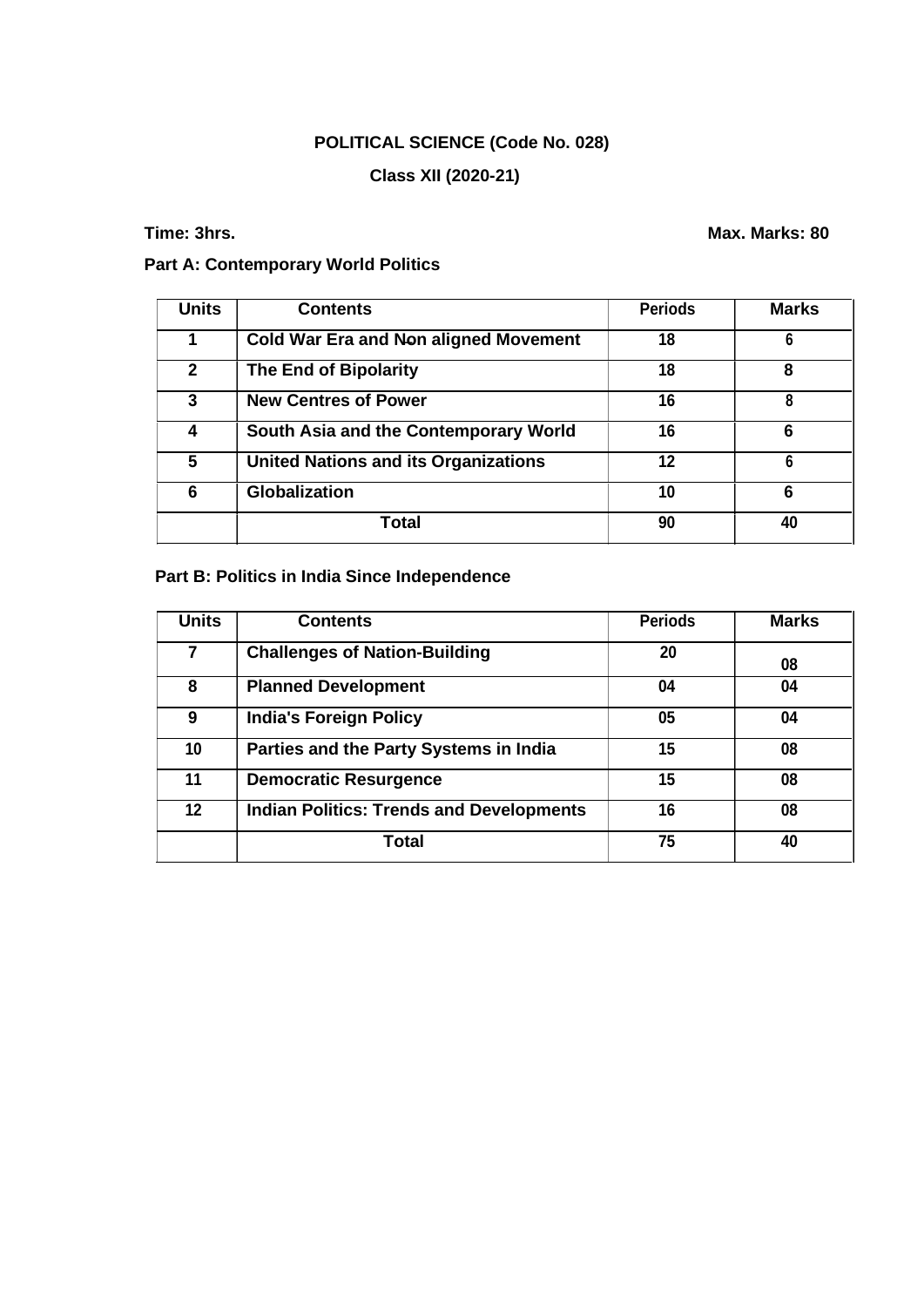# **POLITICAL SCIENCE (Code No. 028)**

# **Class XII (2020-21)**

**Time: 3hrs. Max. Marks: 80** 

### **Part A: Contemporary World Politics**

| <b>Units</b>   | <b>Contents</b>                              | <b>Periods</b> | <b>Marks</b> |
|----------------|----------------------------------------------|----------------|--------------|
|                | <b>Cold War Era and Non aligned Movement</b> | 18             | 6            |
| $\overline{2}$ | <b>The End of Bipolarity</b>                 | 18             | 8            |
| 3              | <b>New Centres of Power</b>                  | 16             | 8            |
|                | South Asia and the Contemporary World        | 16             | 6            |
| 5              | <b>United Nations and its Organizations</b>  | 12             | 6            |
| 6              | <b>Globalization</b>                         | 10             | 6            |
|                | Total                                        | 90             | 40           |

# **Part B: Politics in India Since Independence**

| <b>Units</b> | <b>Contents</b>                                 | <b>Periods</b> | <b>Marks</b> |
|--------------|-------------------------------------------------|----------------|--------------|
|              | <b>Challenges of Nation-Building</b>            | 20             | 08           |
| 8            | <b>Planned Development</b>                      | 04             | 04           |
| 9            | <b>India's Foreign Policy</b>                   | 05             | 04           |
| 10           | Parties and the Party Systems in India          | 15             | 08           |
| 11           | <b>Democratic Resurgence</b>                    | 15             | 08           |
| 12           | <b>Indian Politics: Trends and Developments</b> | 16             | 08           |
|              | Total                                           | 75             | 40           |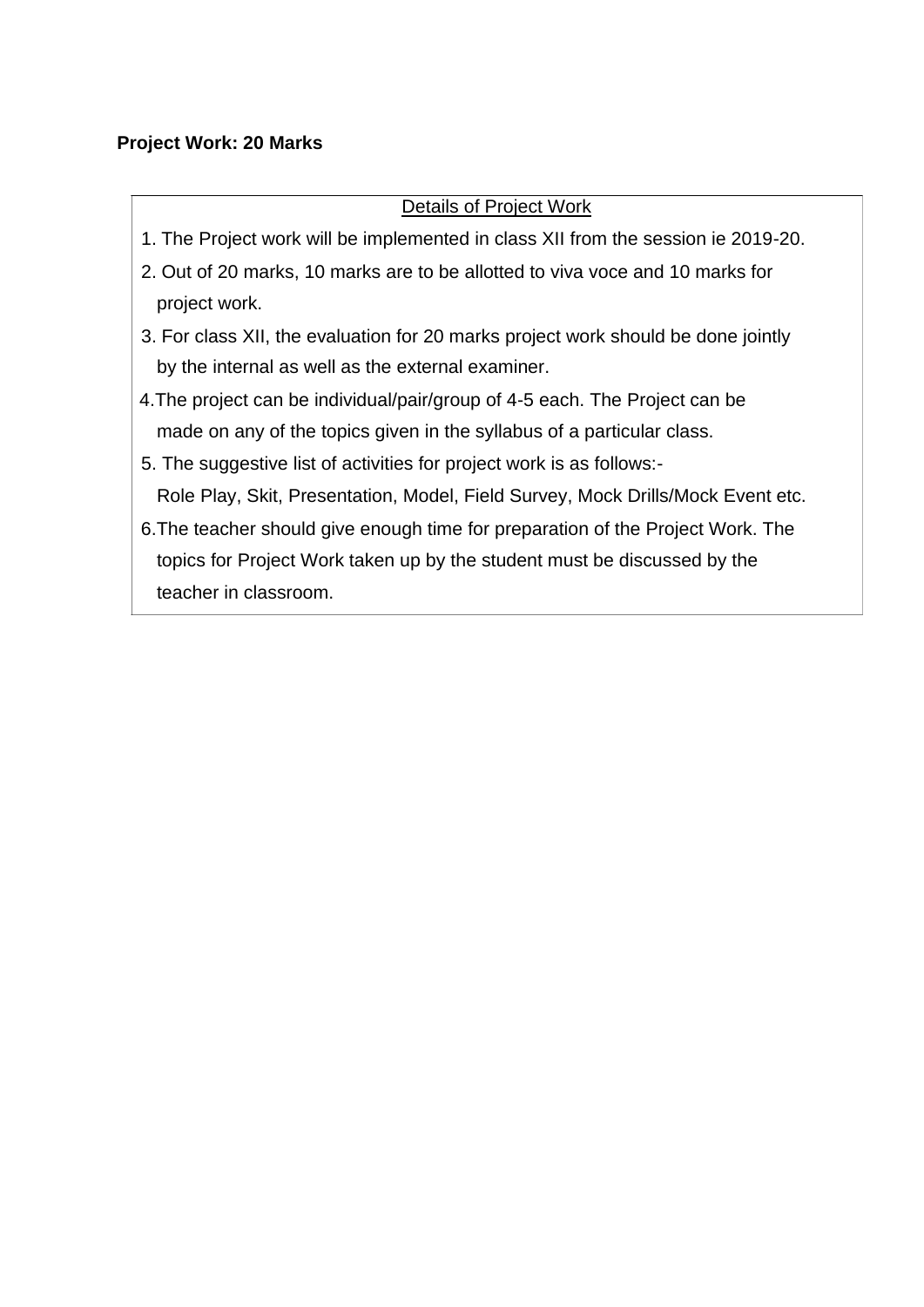### **Project Work: 20 Marks**

### Details of Project Work

- 1. The Project work will be implemented in class XII from the session ie 2019-20.
- 2. Out of 20 marks, 10 marks are to be allotted to viva voce and 10 marks for project work.
- 3. For class XII, the evaluation for 20 marks project work should be done jointly by the internal as well as the external examiner.
- 4.The project can be individual/pair/group of 4-5 each. The Project can be made on any of the topics given in the syllabus of a particular class.
- 5. The suggestive list of activities for project work is as follows:- Role Play, Skit, Presentation, Model, Field Survey, Mock Drills/Mock Event etc.
- 6.The teacher should give enough time for preparation of the Project Work. The topics for Project Work taken up by the student must be discussed by the teacher in classroom.